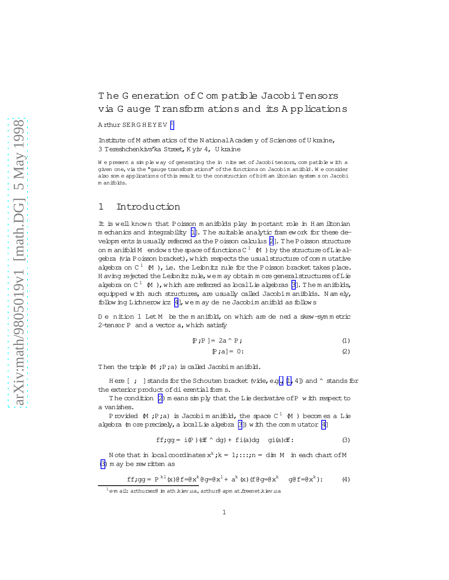# <span id="page-0-0"></span>The Generation of Compatible Jacobi Tensors via G auge Transform ations and its A pplications

A rthur  ${\tt SERGHEYEV}$   $^1$ 

Institute of M athem atics of the N ational A cadem y of Sciences of U kraine, 3 Tereshchenkivs'ka Street, K yiv 4, U kraine

W e present a simple way of generating the in nite set of Jacobitensors, compatible with a given one, via the "gauge transform ations" of the functions on Jacobim anifold. We consider also som e applications ofthis result to the construction ofbi-H am iltonian system s on Jacobi m anifolds.

## 1 Introduction

It is well know n that Poisson m anifolds play im portant role in H am iltonian m echanics and integrability [\[1\]](#page-2-0). T he suitable analytic fram ework for these de-velopm ents is usually referred as the Poisson calculus [\[2\]](#page-2-0). The Poisson structure on m anifold M endows the space of functions  $C^1$  (M) by the structure of L ie algebra (via Poisson bracket), w hich respects the usual structure of commutative algebra on  $C^1$  (M), i.e. the Leibnitz rule for the Poisson bracket takes place. H aving rejected the Leibnitz rule, we m ay obtain m ore general structures of Lie algebra on  $C^1$   $\uparrow$  ), w hich are referred as local L ie algebras [\[3\]](#page-2-0). The m anifolds, equipped with such structures, are usually called Jacobim anifolds. N am ely, follow ing Lichnerow icz [\[4](#page-2-0)], we m ay de ne Jacobim anifold as follows

D e nition 1 Let M be the m anifold, on which are de ned a skew-symmetric 2-tensor P and a vector a, which satisfy

$$
\mathbb{P} \; ; \mathbb{P} \; \mathbb{I} = 2a \wedge \mathbb{P} \; ; \tag{1}
$$

$$
[\mathbb{P}\,;\mathsf{a}]=0\colon\qquad \qquad (2)
$$

Then the triple  $(M ; P; a)$  is called Jacobim anifold.

H ere  $[$  ; ] stands for the Schouten bracket (vide, e.g.,  $[1, 4]$ ) and  $\hat{ }$  stands for the exterior product of dierential form s.

The condition (2) m eans simply that the Lie derivative of P w ith respect to a vanishes.

Provided  $\,$  M ;P;a) is Jacobi manifold, the space C  $^1$  (M ) becomes a Lie algebra  $(m$  ore precisely, a local Lie algebra [\[3\]](#page-2-0)) w ith the commutator [\[4\]](#page-2-0)

$$
ff; gg = iP) (df \uparrow dg) + fi(a) dg \quad gi(a) df:
$$
 (3)

N ote that in localcoordinates  $\mathbf{x}^k$  ;  $k = 1$  ; : : : ; n = dim M  $\;$  in each chart of M (3)m ay be rew ritten as

$$
\text{ff}\,\text{;} \,\text{gg} = P^{k1}(x)\text{@f} = \text{@x}^k\text{@g} = \text{@x}^1 + a^k(x) \text{ (f} \,\text{@g} = \text{@x}^k \quad \text{g} \text{@f} = \text{@x}^k \text{)}:\tag{4}
$$

 $^{1}$ e-m ail: arthurser@ im ath.kiev.ua, arthur@ apm at.freenet.kiev.ua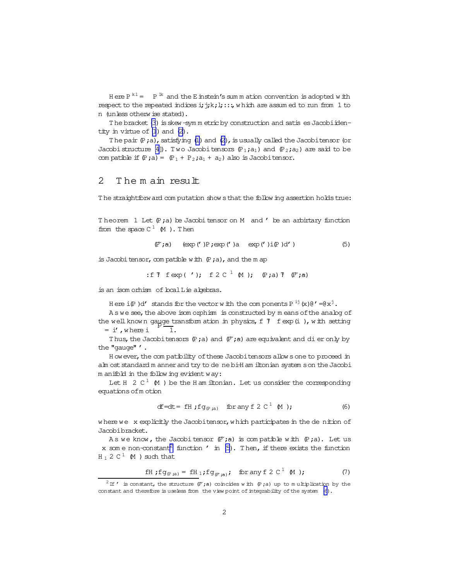<span id="page-1-0"></span>Here  $P^{k1} = P^{lk}$  and the E instein's sum m ation convention is adopted with respect to the repeated indices i; j; k; l; ::; which are assumed to run from 1 to n (unless otherw ise stated).

The bracket (3) is skew-symm etric by construction and satis es Jacobi identity in virtue of  $(1)$  and  $(2)$ .

The pair  $(P, a)$ , satisfying (1) and (2), is usually called the Jacobitensor (or Jacobi structure [4]). Two Jacobi tensors  $(P_1, a_1)$  and  $(P_2, a_2)$  are said to be compatible if  $(P; a) = (P_1 + P_2; a_1 + a_2)$  also is Jacobitensor.

### $\mathcal{L}$ The main result

The straightforw ard computation shows that the following assertion holds true:

Theorem 1 Let  $(P; a)$  be Jacobi tensor on M and ' be an arbirtary function from the space  $C^1$  (M). Then

$$
(\mathbb{P}^{\cdot};a) \quad (\exp(')\mathbb{P};\exp(')a \quad \exp(')\mathbb{I}(\mathbb{P})d') \tag{5}
$$

is Jacobi tensor, compatible with  $(P; a)$ , and the m ap

:ff 
$$
\text{f} \exp(\prime)
$$
; f  $2 \text{ C}^{\perp} \text{ (M)}$ ; (P; a)  $\text{ (P; a)}$ 

is an isom orhism of boalLie algebras.

Here  $i(\mathbb{P})d'$  stands for the vector with the components  $P^{ij}(x)\theta' = \theta x^j$ .

As we see, the above isom orphism is constructed by means of the analog of the well known gayge transform ation in physics, f 7 f exp (i), with setting  $= i'$ , where i 丂.

Thus, the Jacobitensors  $(P; a)$  and  $(P'; a)$  are equivalent and di er only by the "gauge" '.

How ever, the compatibility of these Jacobitensors allows one to proceed in alm ost standard m anner and try to de ne bi-H am iltonian system s on the Jacobi m anifold in the following evident way:

Let  $H \ 2 C^1 M$  ) be the H am iltonian. Let us consider the corresponding equations of m otion

$$
df = dt = fH \; ; \; fg_{(P \; ;a)} \quad \text{for any } f \; 2 \; C^{\perp} \; M \; ); \tag{6}
$$

where we x explicitly the Jacobitensor, which participates in the denition of Jacobibracket.

As we know, the Jacobitensor  $(P',a)$  is compatible with  $(P',a)$ . Let us x some non-constant<sup>2</sup> function  $'$  in (5). Then, if there exists the function  $H_1 2 C^1$  (M) such that

$$
fH \; ;fg_{(P,a)} = fH_1 \; ;fg_{(P^*a)} \; ; \quad \text{for any } f \; 2 \; C^{\perp} \; M \; ; \tag{7}
$$

<sup>&</sup>lt;sup>2</sup> If  $'$  is constant, the structure  $(\mathbb{P},a)$  coincides with  $(\mathbb{P},a)$  up to multiplication by the constant and therefore is useless from the view point of integrability of the system (6).